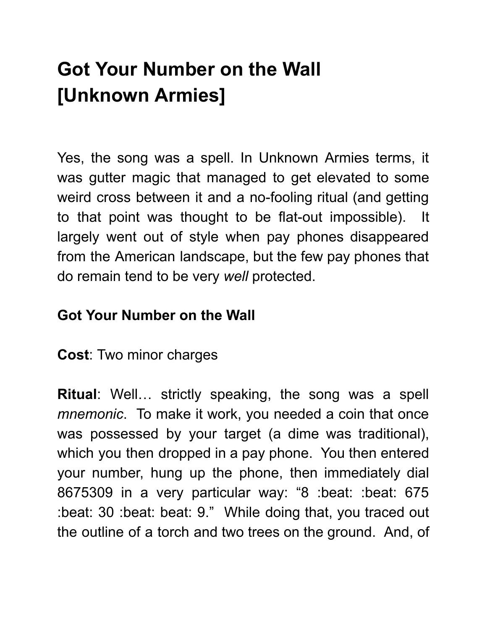## Got Your Number on the Wall [Unknown Armies]

Yes, the song was a spell. In Unknown Armies terms, it was gutter magic that managed to get elevated to some weird cross between it and a no-fooling ritual (and getting to that point was thought to be flat-out impossible). It largely went out of style when pay phones disappeared from the American landscape, but the few pay phones that do remain tend to be very well protected.

## Got Your Number on the Wall

Cost: Two minor charges

Ritual: Well… strictly speaking, the song was a spell mnemonic. To make it work, you needed a coin that once was possessed by your target (a dime was traditional), which you then dropped in a pay phone. You then entered your number, hung up the phone, then immediately dial 8675309 in a very particular way: "8 :beat: :beat: 675 :beat: 30 :beat: beat: 9." While doing that, you traced out the outline of a torch and two trees on the ground. And, of